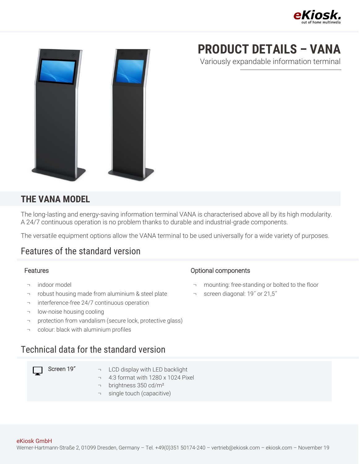



# **PRODUCT DETAILS – VANA**

Variously expandable information terminal

#### **THE VANA MODEL**

The long-lasting and energy-saving information terminal VANA is characterised above all by its high modularity. A 24/7 continuous operation is no problem thanks to durable and industrial-grade components.

The versatile equipment options allow the VANA terminal to be used universally for a wide variety of purposes.

### Features of the standard version

- ¬ indoor model
- ¬ robust housing made from aluminium & steel plate
- ¬ interference-free 24/7 continuous operation
- ¬ low-noise housing cooling
- ¬ protection from vandalism (secure lock, protective glass)
- ¬ colour: black with aluminium profiles

#### Technical data for the standard version

- Screen  $19^*$   $\rightarrow$  LCD display with LED backlight
	- ¬ 4:3 format with 1280 x 1024 Pixel
	- ¬ brightness 350 cd/m²
	- ¬ single touch (capacitive)

#### Features **Contract Contract Contract Contract Contract Contract Contract Contract Contract Contract Contract Contract Contract Contract Contract Contract Contract Contract Contract Contract Contract Contract Contract Contr**

- ¬ mounting: free-standing or bolted to the floor
- ¬ screen diagonal: 19˝ or 21,5˝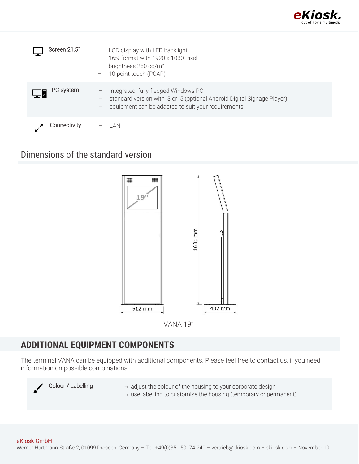

| Screen 21,5" | LCD display with LED backlight<br>$\overline{\phantom{a}}$<br>16:9 format with 1920 x 1080 Pixel<br>$\overline{\phantom{0}}$<br>brightness 250 cd/m <sup>2</sup><br>10-point touch (PCAP)<br>$\overline{\phantom{a}}$ |
|--------------|-----------------------------------------------------------------------------------------------------------------------------------------------------------------------------------------------------------------------|
| PC system    | integrated, fully-fledged Windows PC<br>$\lnot$<br>standard version with i3 or i5 (optional Android Digital Signage Player)<br>┑<br>equipment can be adapted to suit your requirements<br>$\overline{\phantom{0}}$    |
| Connectivity | AN                                                                                                                                                                                                                    |

### Dimensions of the standard version



VANA 19''

## **ADDITIONAL EQUIPMENT COMPONENTS**

The terminal VANA can be equipped with additional components. Please feel free to contact us, if you need information on possible combinations.



- Colour / Labelling  $\Box$  adjust the colour of the housing to your corporate design
	- ¬ use labelling to customise the housing (temporary or permanent)